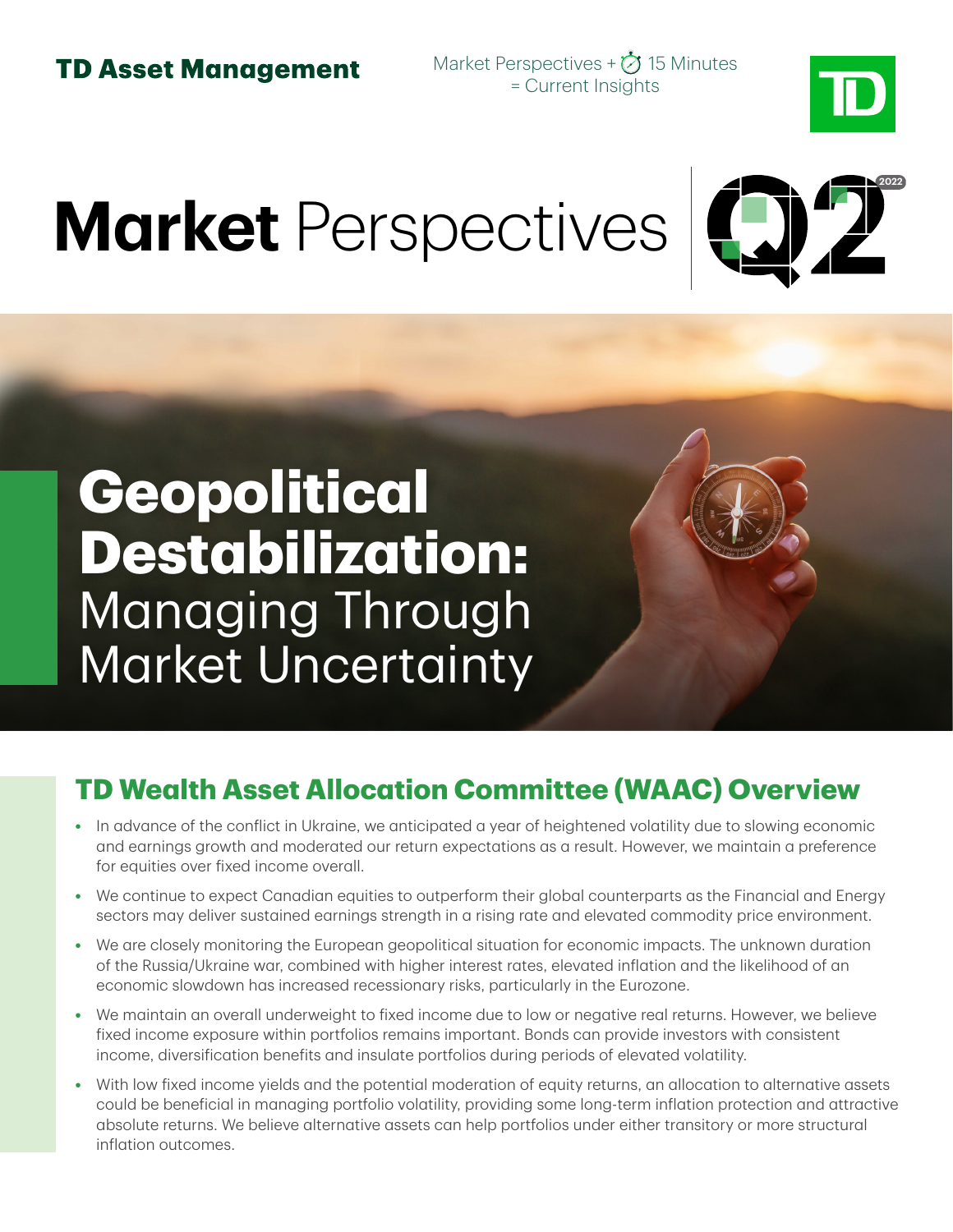Market Perspectives +  $\bigcirc$  15 Minutes = Current Insights



# **Market** Perspectives



## **Geopolitical Destabilization:**  Managing Through Market Uncertainty

### **TD Wealth Asset Allocation Committee (WAAC) Overview**

- **•** In advance of the conflict in Ukraine, we anticipated a year of heightened volatility due to slowing economic and earnings growth and moderated our return expectations as a result. However, we maintain a preference for equities over fixed income overall.
- **•** We continue to expect Canadian equities to outperform their global counterparts as the Financial and Energy sectors may deliver sustained earnings strength in a rising rate and elevated commodity price environment.
- **•** We are closely monitoring the European geopolitical situation for economic impacts. The unknown duration of the Russia/Ukraine war, combined with higher interest rates, elevated inflation and the likelihood of an economic slowdown has increased recessionary risks, particularly in the Eurozone.
- **•** We maintain an overall underweight to fixed income due to low or negative real returns. However, we believe fixed income exposure within portfolios remains important. Bonds can provide investors with consistent income, diversification benefits and insulate portfolios during periods of elevated volatility.
- **•** With low fixed income yields and the potential moderation of equity returns, an allocation to alternative assets could be beneficial in managing portfolio volatility, providing some long-term inflation protection and attractive absolute returns. We believe alternative assets can help portfolios under either transitory or more structural inflation outcomes.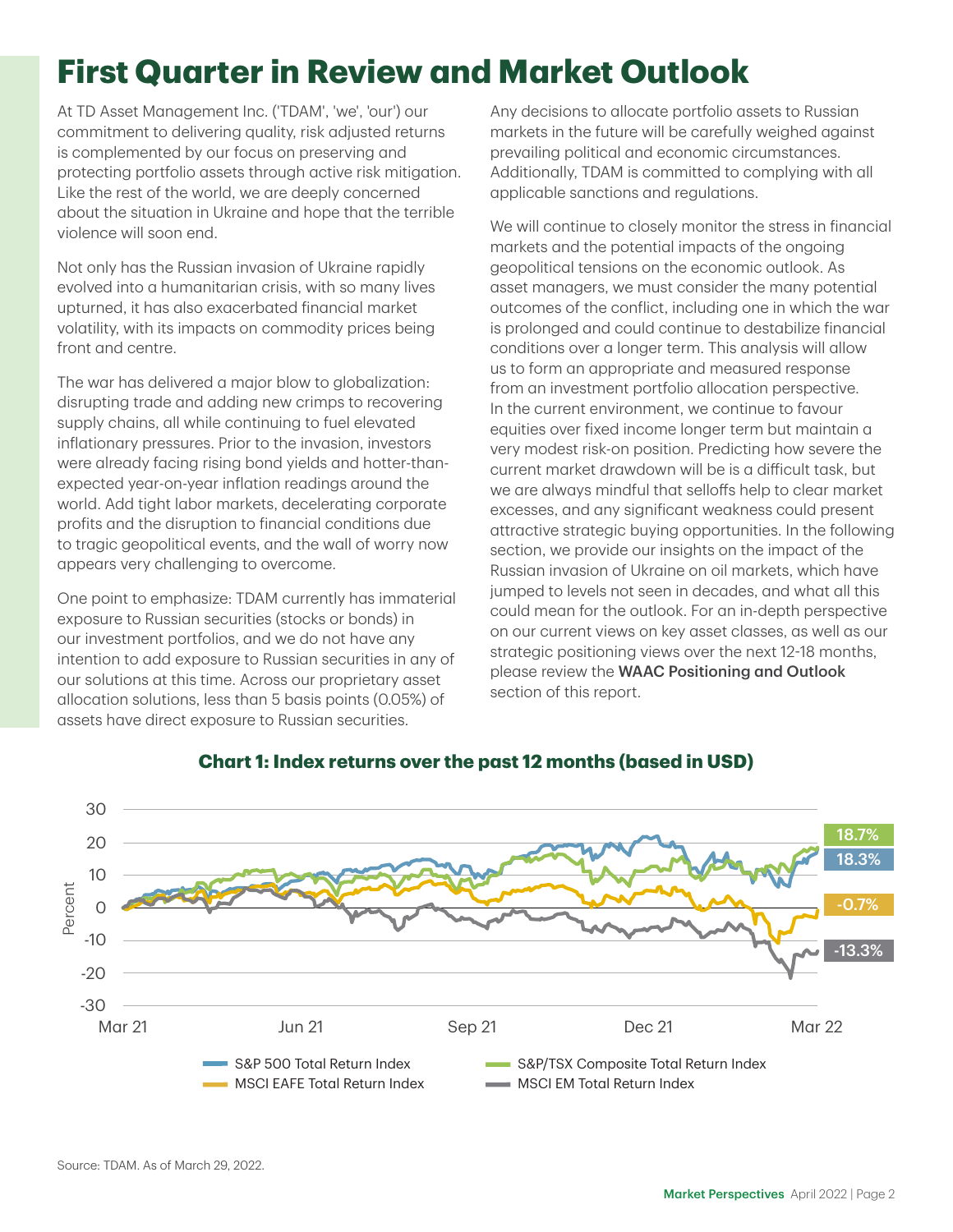### **First Quarter in Review and Market Outlook**

At TD Asset Management Inc. ('TDAM', 'we', 'our') our commitment to delivering quality, risk adjusted returns is complemented by our focus on preserving and protecting portfolio assets through active risk mitigation. Like the rest of the world, we are deeply concerned about the situation in Ukraine and hope that the terrible violence will soon end.

Not only has the Russian invasion of Ukraine rapidly evolved into a humanitarian crisis, with so many lives upturned, it has also exacerbated financial market volatility, with its impacts on commodity prices being front and centre.

The war has delivered a major blow to globalization: disrupting trade and adding new crimps to recovering supply chains, all while continuing to fuel elevated inflationary pressures. Prior to the invasion, investors were already facing rising bond yields and hotter-thanexpected year-on-year inflation readings around the world. Add tight labor markets, decelerating corporate profits and the disruption to financial conditions due to tragic geopolitical events, and the wall of worry now appears very challenging to overcome.

One point to emphasize: TDAM currently has immaterial exposure to Russian securities (stocks or bonds) in our investment portfolios, and we do not have any intention to add exposure to Russian securities in any of our solutions at this time. Across our proprietary asset allocation solutions, less than 5 basis points (0.05%) of assets have direct exposure to Russian securities.

Any decisions to allocate portfolio assets to Russian markets in the future will be carefully weighed against prevailing political and economic circumstances. Additionally, TDAM is committed to complying with all applicable sanctions and regulations.

We will continue to closely monitor the stress in financial markets and the potential impacts of the ongoing geopolitical tensions on the economic outlook. As asset managers, we must consider the many potential outcomes of the conflict, including one in which the war is prolonged and could continue to destabilize financial conditions over a longer term. This analysis will allow us to form an appropriate and measured response from an investment portfolio allocation perspective. In the current environment, we continue to favour equities over fixed income longer term but maintain a very modest risk-on position. Predicting how severe the current market drawdown will be is a difficult task, but we are always mindful that selloffs help to clear market excesses, and any significant weakness could present attractive strategic buying opportunities. In the following section, we provide our insights on the impact of the Russian invasion of Ukraine on oil markets, which have jumped to levels not seen in decades, and what all this could mean for the outlook. For an in-depth perspective on our current views on key asset classes, as well as our strategic positioning views over the next 12-18 months, please review the WAAC Positioning and Outlook section of this report.



#### **Chart 1: Index returns over the past 12 months (based in USD)**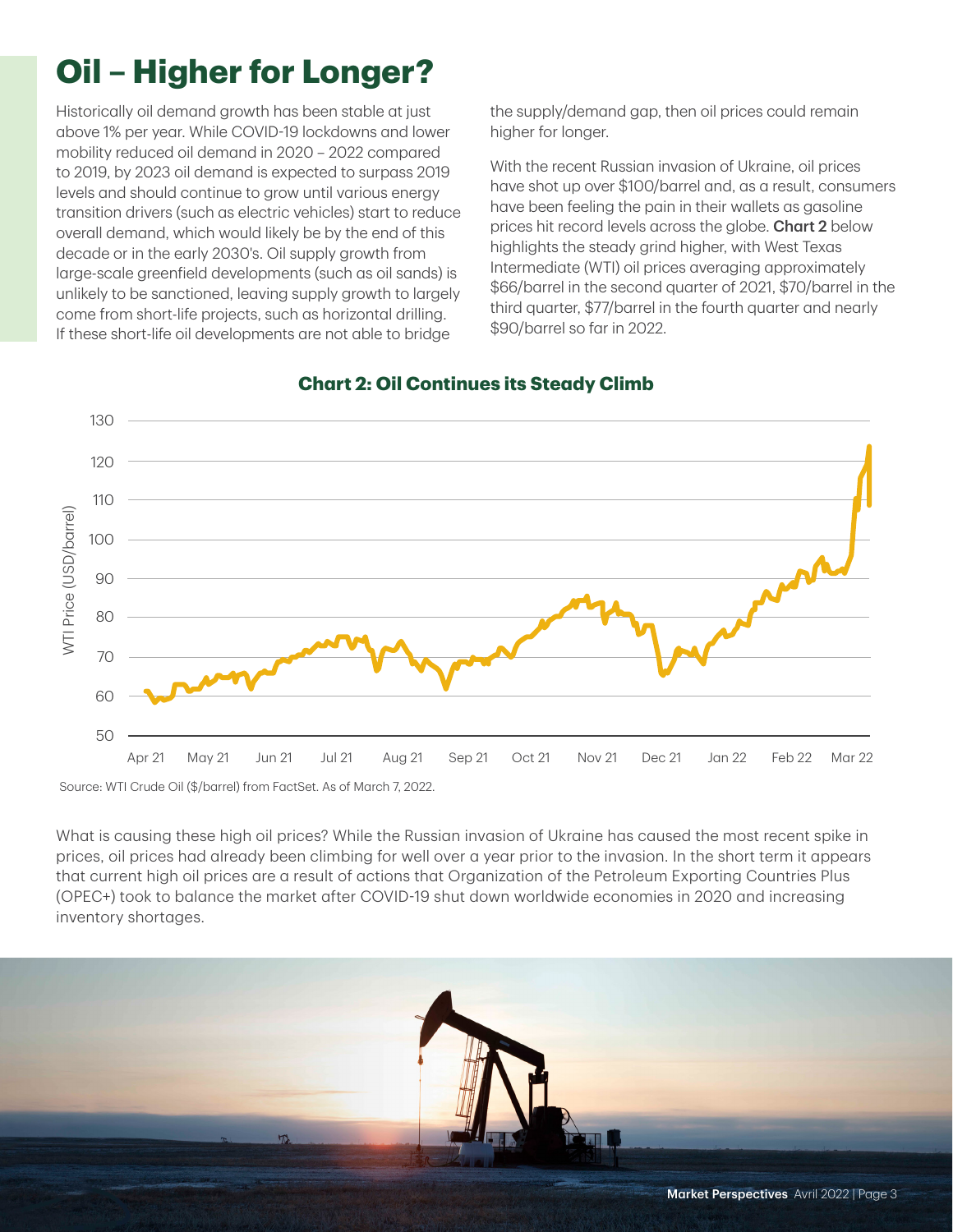### **Oil – Higher for Longer?**

Historically oil demand growth has been stable at just above 1% per year. While COVID-19 lockdowns and lower mobility reduced oil demand in 2020 – 2022 compared to 2019, by 2023 oil demand is expected to surpass 2019 levels and should continue to grow until various energy transition drivers (such as electric vehicles) start to reduce overall demand, which would likely be by the end of this decade or in the early 2030's. Oil supply growth from large-scale greenfield developments (such as oil sands) is unlikely to be sanctioned, leaving supply growth to largely come from short-life projects, such as horizontal drilling. If these short-life oil developments are not able to bridge

the supply/demand gap, then oil prices could remain higher for longer.

With the recent Russian invasion of Ukraine, oil prices have shot up over \$100/barrel and, as a result, consumers have been feeling the pain in their wallets as gasoline prices hit record levels across the globe. Chart 2 below highlights the steady grind higher, with West Texas Intermediate (WTI) oil prices averaging approximately \$66/barrel in the second quarter of 2021, \$70/barrel in the third quarter, \$77/barrel in the fourth quarter and nearly \$90/barrel so far in 2022.



#### **Chart 2: Oil Continues its Steady Climb**

What is causing these high oil prices? While the Russian invasion of Ukraine has caused the most recent spike in prices, oil prices had already been climbing for well over a year prior to the invasion. In the short term it appears that current high oil prices are a result of actions that Organization of the Petroleum Exporting Countries Plus (OPEC+) took to balance the market after COVID-19 shut down worldwide economies in 2020 and increasing inventory shortages.

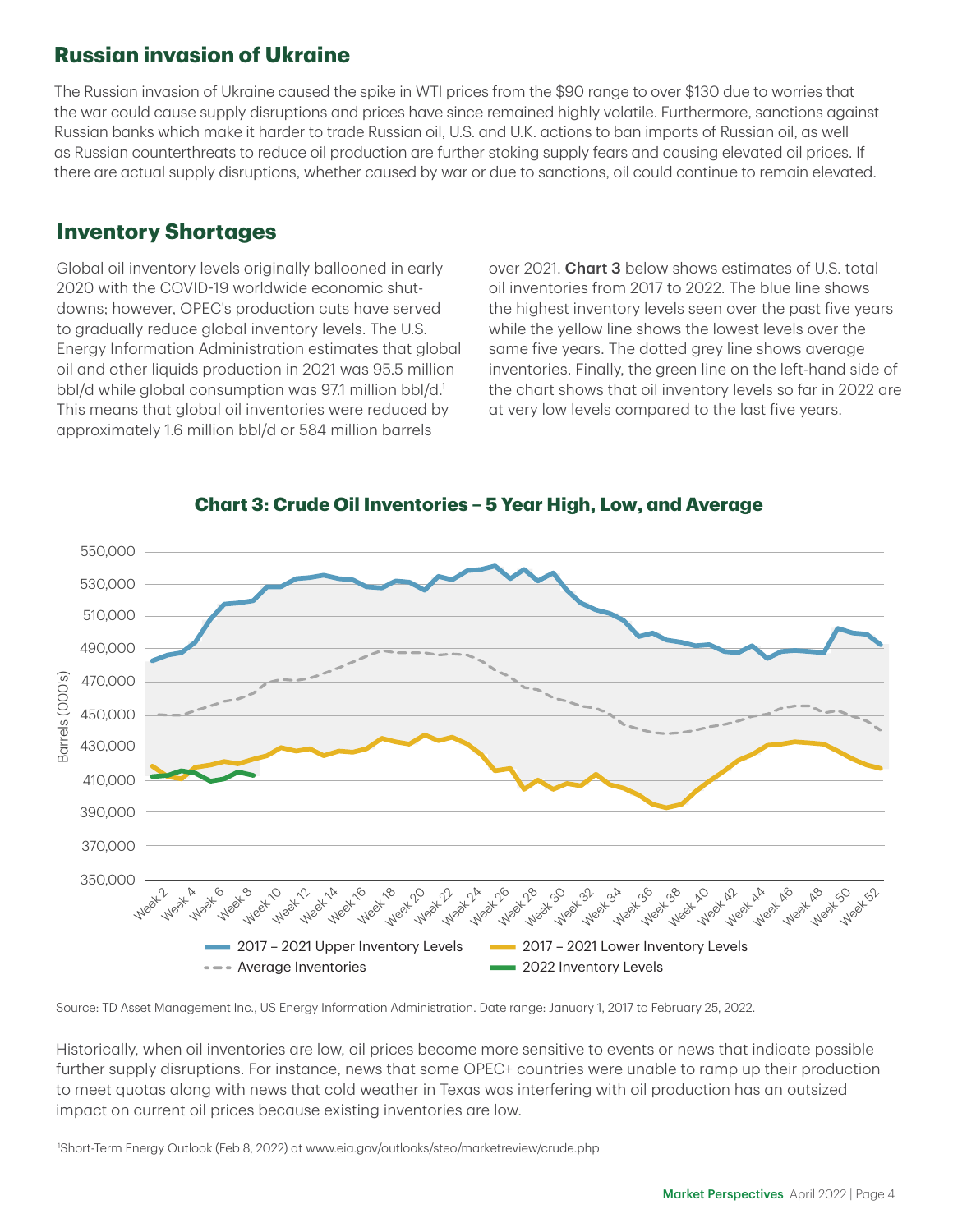### **Russian invasion of Ukraine**

The Russian invasion of Ukraine caused the spike in WTI prices from the \$90 range to over \$130 due to worries that the war could cause supply disruptions and prices have since remained highly volatile. Furthermore, sanctions against Russian banks which make it harder to trade Russian oil, U.S. and U.K. actions to ban imports of Russian oil, as well as Russian counterthreats to reduce oil production are further stoking supply fears and causing elevated oil prices. If there are actual supply disruptions, whether caused by war or due to sanctions, oil could continue to remain elevated.

### **Inventory Shortages**

Global oil inventory levels originally ballooned in early 2020 with the COVID-19 worldwide economic shutdowns; however, OPEC's production cuts have served to gradually reduce global inventory levels. The U.S. Energy Information Administration estimates that global oil and other liquids production in 2021 was 95.5 million bbl/d while global consumption was 97.1 million bbl/d.<sup>1</sup> This means that global oil inventories were reduced by approximately 1.6 million bbl/d or 584 million barrels

over 2021. Chart 3 below shows estimates of U.S. total oil inventories from 2017 to 2022. The blue line shows the highest inventory levels seen over the past five years while the yellow line shows the lowest levels over the same five years. The dotted grey line shows average inventories. Finally, the green line on the left-hand side of the chart shows that oil inventory levels so far in 2022 are at very low levels compared to the last five years.



**Chart 3: Crude Oil Inventories – 5 Year High, Low, and Average**

Source: TD Asset Management Inc., US Energy Information Administration. Date range: January 1, 2017 to February 25, 2022.

Historically, when oil inventories are low, oil prices become more sensitive to events or news that indicate possible further supply disruptions. For instance, news that some OPEC+ countries were unable to ramp up their production to meet quotas along with news that cold weather in Texas was interfering with oil production has an outsized impact on current oil prices because existing inventories are low.

1 Short-Term Energy Outlook (Feb 8, 2022) at www.eia.gov/outlooks/steo/marketreview/crude.php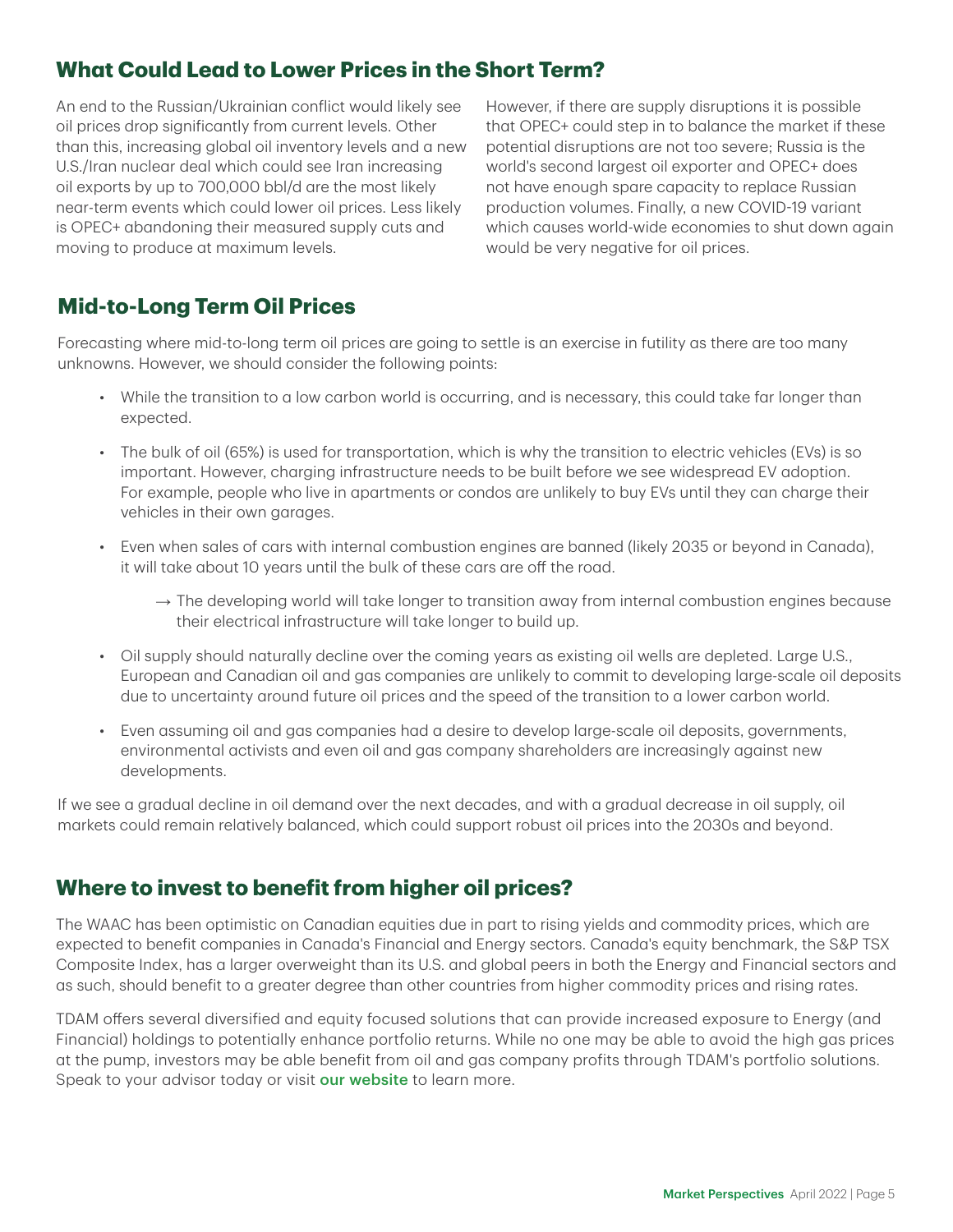### **What Could Lead to Lower Prices in the Short Term?**

An end to the Russian/Ukrainian conflict would likely see oil prices drop significantly from current levels. Other than this, increasing global oil inventory levels and a new U.S./Iran nuclear deal which could see Iran increasing oil exports by up to 700,000 bbl/d are the most likely near-term events which could lower oil prices. Less likely is OPEC+ abandoning their measured supply cuts and moving to produce at maximum levels.

However, if there are supply disruptions it is possible that OPEC+ could step in to balance the market if these potential disruptions are not too severe; Russia is the world's second largest oil exporter and OPEC+ does not have enough spare capacity to replace Russian production volumes. Finally, a new COVID-19 variant which causes world-wide economies to shut down again would be very negative for oil prices.

### **Mid-to-Long Term Oil Prices**

Forecasting where mid-to-long term oil prices are going to settle is an exercise in futility as there are too many unknowns. However, we should consider the following points:

- While the transition to a low carbon world is occurring, and is necessary, this could take far longer than expected.
- The bulk of oil (65%) is used for transportation, which is why the transition to electric vehicles (EVs) is so important. However, charging infrastructure needs to be built before we see widespread EV adoption. For example, people who live in apartments or condos are unlikely to buy EVs until they can charge their vehicles in their own garages.
- Even when sales of cars with internal combustion engines are banned (likely 2035 or beyond in Canada), it will take about 10 years until the bulk of these cars are off the road.
	- $\rightarrow$  The developing world will take longer to transition away from internal combustion engines because their electrical infrastructure will take longer to build up.
- Oil supply should naturally decline over the coming years as existing oil wells are depleted. Large U.S., European and Canadian oil and gas companies are unlikely to commit to developing large-scale oil deposits due to uncertainty around future oil prices and the speed of the transition to a lower carbon world.
- Even assuming oil and gas companies had a desire to develop large-scale oil deposits, governments, environmental activists and even oil and gas company shareholders are increasingly against new developments.

If we see a gradual decline in oil demand over the next decades, and with a gradual decrease in oil supply, oil markets could remain relatively balanced, which could support robust oil prices into the 2030s and beyond.

### **Where to invest to benefit from higher oil prices?**

The WAAC has been optimistic on Canadian equities due in part to rising yields and commodity prices, which are expected to benefit companies in Canada's Financial and Energy sectors. Canada's equity benchmark, the S&P TSX Composite Index, has a larger overweight than its U.S. and global peers in both the Energy and Financial sectors and as such, should benefit to a greater degree than other countries from higher commodity prices and rising rates.

TDAM offers several diversified and equity focused solutions that can provide increased exposure to Energy (and Financial) holdings to potentially enhance portfolio returns. While no one may be able to avoid the high gas prices at the pump, investors may be able benefit from oil and gas company profits through TDAM's portfolio solutions. Speak to your advisor today or visit [our website](https://www.td.com/ca/en/asset-management/) to learn more.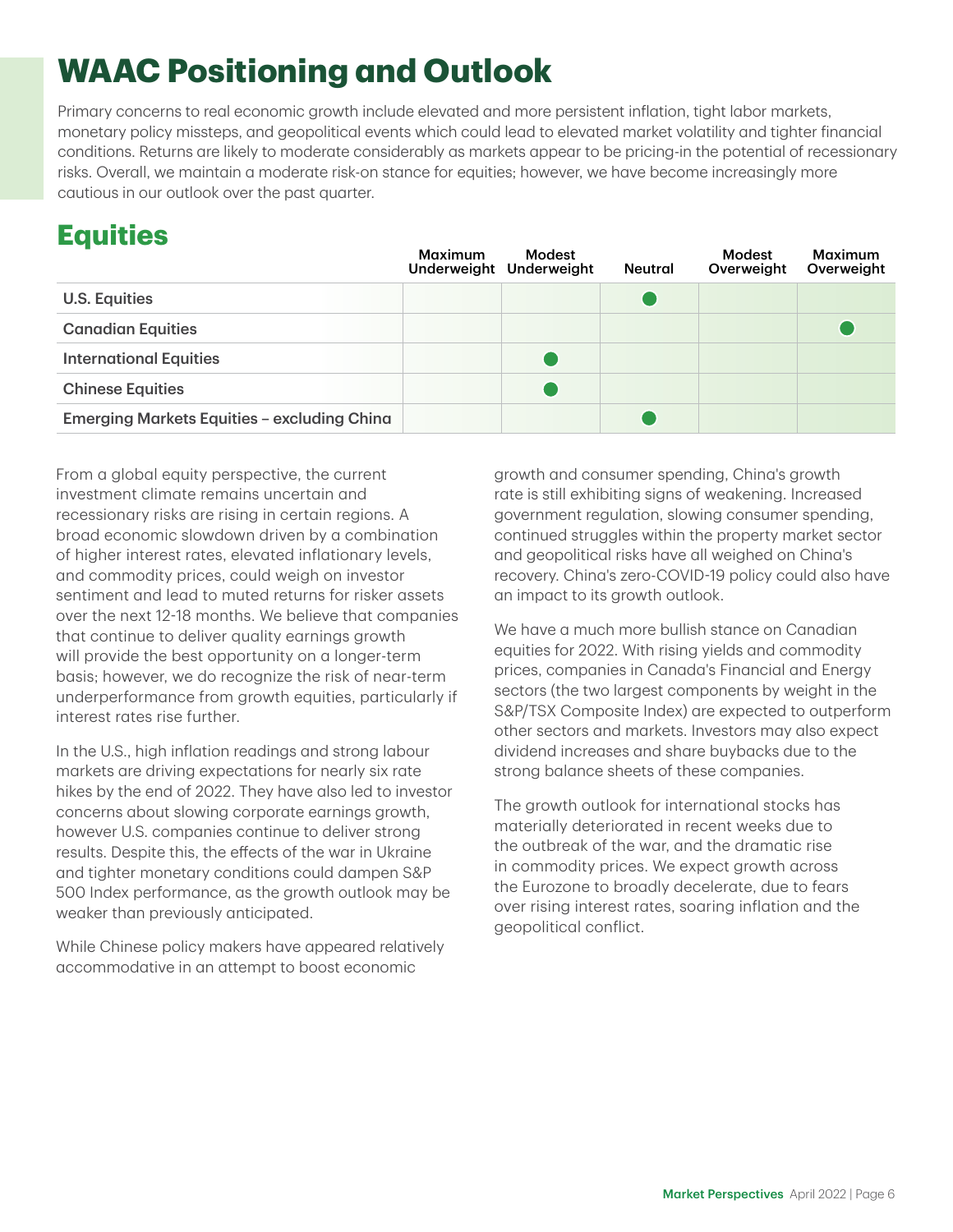### **WAAC Positioning and Outlook**

Primary concerns to real economic growth include elevated and more persistent inflation, tight labor markets, monetary policy missteps, and geopolitical events which could lead to elevated market volatility and tighter financial conditions. Returns are likely to moderate considerably as markets appear to be pricing-in the potential of recessionary risks. Overall, we maintain a moderate risk-on stance for equities; however, we have become increasingly more cautious in our outlook over the past quarter.

### **Equities**

|                                                    | Maximum | Modest<br>Underweight Underweight | Neutral | Modest<br>Overweight | Maximum<br>Overweight |
|----------------------------------------------------|---------|-----------------------------------|---------|----------------------|-----------------------|
| <b>U.S. Equities</b>                               |         |                                   |         |                      |                       |
| <b>Canadian Equities</b>                           |         |                                   |         |                      |                       |
| <b>International Equities</b>                      |         |                                   |         |                      |                       |
| <b>Chinese Equities</b>                            |         |                                   |         |                      |                       |
| <b>Emerging Markets Equities - excluding China</b> |         |                                   |         |                      |                       |

From a global equity perspective, the current investment climate remains uncertain and recessionary risks are rising in certain regions. A broad economic slowdown driven by a combination of higher interest rates, elevated inflationary levels, and commodity prices, could weigh on investor sentiment and lead to muted returns for risker assets over the next 12-18 months. We believe that companies that continue to deliver quality earnings growth will provide the best opportunity on a longer-term basis; however, we do recognize the risk of near-term underperformance from growth equities, particularly if interest rates rise further.

In the U.S., high inflation readings and strong labour markets are driving expectations for nearly six rate hikes by the end of 2022. They have also led to investor concerns about slowing corporate earnings growth, however U.S. companies continue to deliver strong results. Despite this, the effects of the war in Ukraine and tighter monetary conditions could dampen S&P 500 Index performance, as the growth outlook may be weaker than previously anticipated.

While Chinese policy makers have appeared relatively accommodative in an attempt to boost economic

growth and consumer spending, China's growth rate is still exhibiting signs of weakening. Increased government regulation, slowing consumer spending, continued struggles within the property market sector and geopolitical risks have all weighed on China's recovery. China's zero-COVID-19 policy could also have an impact to its growth outlook.

We have a much more bullish stance on Canadian equities for 2022. With rising yields and commodity prices, companies in Canada's Financial and Energy sectors (the two largest components by weight in the S&P/TSX Composite Index) are expected to outperform other sectors and markets. Investors may also expect dividend increases and share buybacks due to the strong balance sheets of these companies.

The growth outlook for international stocks has materially deteriorated in recent weeks due to the outbreak of the war, and the dramatic rise in commodity prices. We expect growth across the Eurozone to broadly decelerate, due to fears over rising interest rates, soaring inflation and the geopolitical conflict.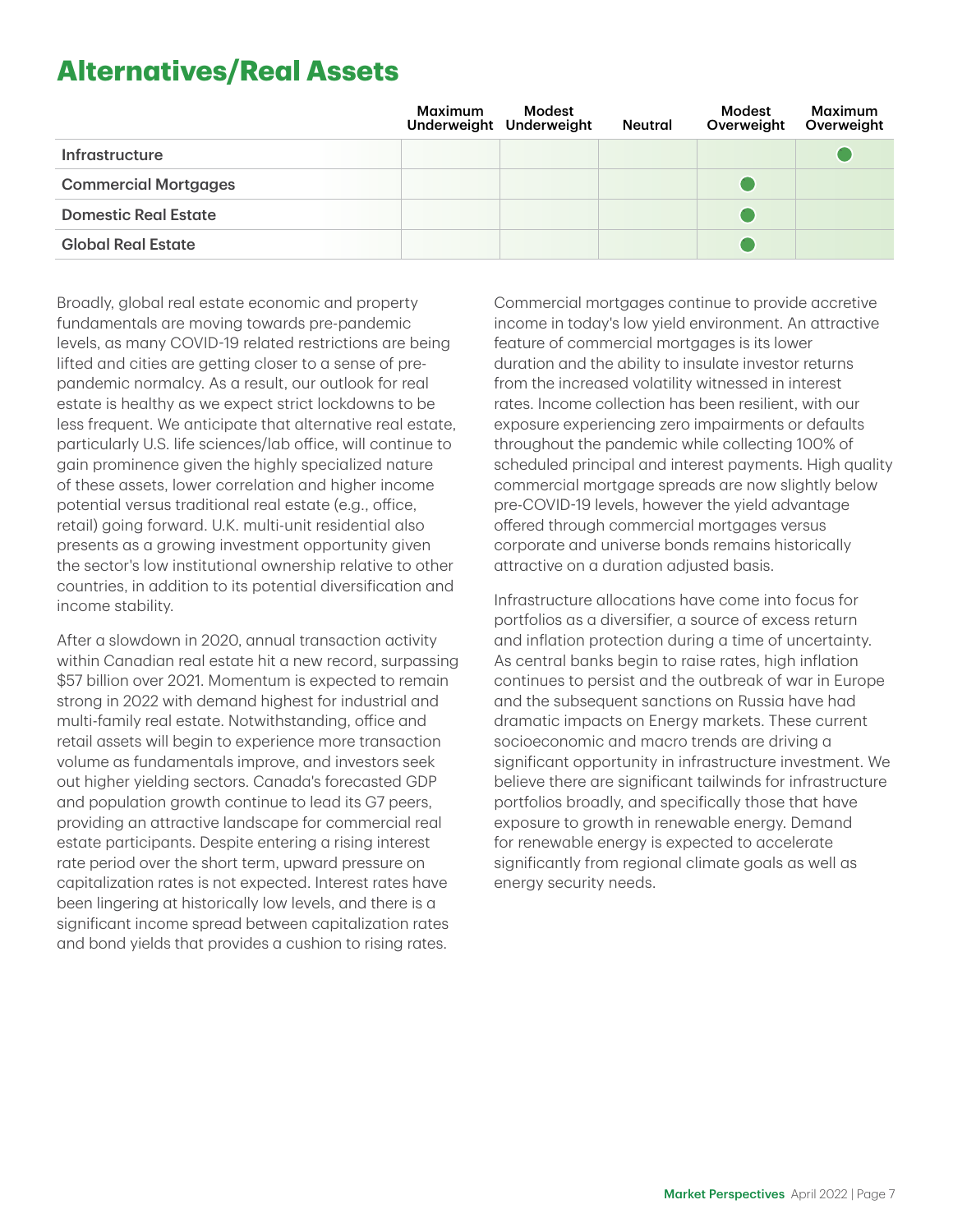### **Alternatives/Real Assets**

|                             | Maximum | Modest<br>Underweight Underweight | <b>Neutral</b> | Modest<br>Overweight | Maximum<br>Overweight |
|-----------------------------|---------|-----------------------------------|----------------|----------------------|-----------------------|
| <b>Infrastructure</b>       |         |                                   |                |                      |                       |
| <b>Commercial Mortgages</b> |         |                                   |                |                      |                       |
| <b>Domestic Real Estate</b> |         |                                   |                |                      |                       |
| <b>Global Real Estate</b>   |         |                                   |                |                      |                       |

Broadly, global real estate economic and property fundamentals are moving towards pre-pandemic levels, as many COVID-19 related restrictions are being lifted and cities are getting closer to a sense of prepandemic normalcy. As a result, our outlook for real estate is healthy as we expect strict lockdowns to be less frequent. We anticipate that alternative real estate, particularly U.S. life sciences/lab office, will continue to gain prominence given the highly specialized nature of these assets, lower correlation and higher income potential versus traditional real estate (e.g., office, retail) going forward. U.K. multi-unit residential also presents as a growing investment opportunity given the sector's low institutional ownership relative to other countries, in addition to its potential diversification and income stability.

After a slowdown in 2020, annual transaction activity within Canadian real estate hit a new record, surpassing \$57 billion over 2021. Momentum is expected to remain strong in 2022 with demand highest for industrial and multi-family real estate. Notwithstanding, office and retail assets will begin to experience more transaction volume as fundamentals improve, and investors seek out higher yielding sectors. Canada's forecasted GDP and population growth continue to lead its G7 peers, providing an attractive landscape for commercial real estate participants. Despite entering a rising interest rate period over the short term, upward pressure on capitalization rates is not expected. Interest rates have been lingering at historically low levels, and there is a significant income spread between capitalization rates and bond yields that provides a cushion to rising rates.

Commercial mortgages continue to provide accretive income in today's low yield environment. An attractive feature of commercial mortgages is its lower duration and the ability to insulate investor returns from the increased volatility witnessed in interest rates. Income collection has been resilient, with our exposure experiencing zero impairments or defaults throughout the pandemic while collecting 100% of scheduled principal and interest payments. High quality commercial mortgage spreads are now slightly below pre-COVID-19 levels, however the yield advantage offered through commercial mortgages versus corporate and universe bonds remains historically attractive on a duration adjusted basis.

Infrastructure allocations have come into focus for portfolios as a diversifier, a source of excess return and inflation protection during a time of uncertainty. As central banks begin to raise rates, high inflation continues to persist and the outbreak of war in Europe and the subsequent sanctions on Russia have had dramatic impacts on Energy markets. These current socioeconomic and macro trends are driving a significant opportunity in infrastructure investment. We believe there are significant tailwinds for infrastructure portfolios broadly, and specifically those that have exposure to growth in renewable energy. Demand for renewable energy is expected to accelerate significantly from regional climate goals as well as energy security needs.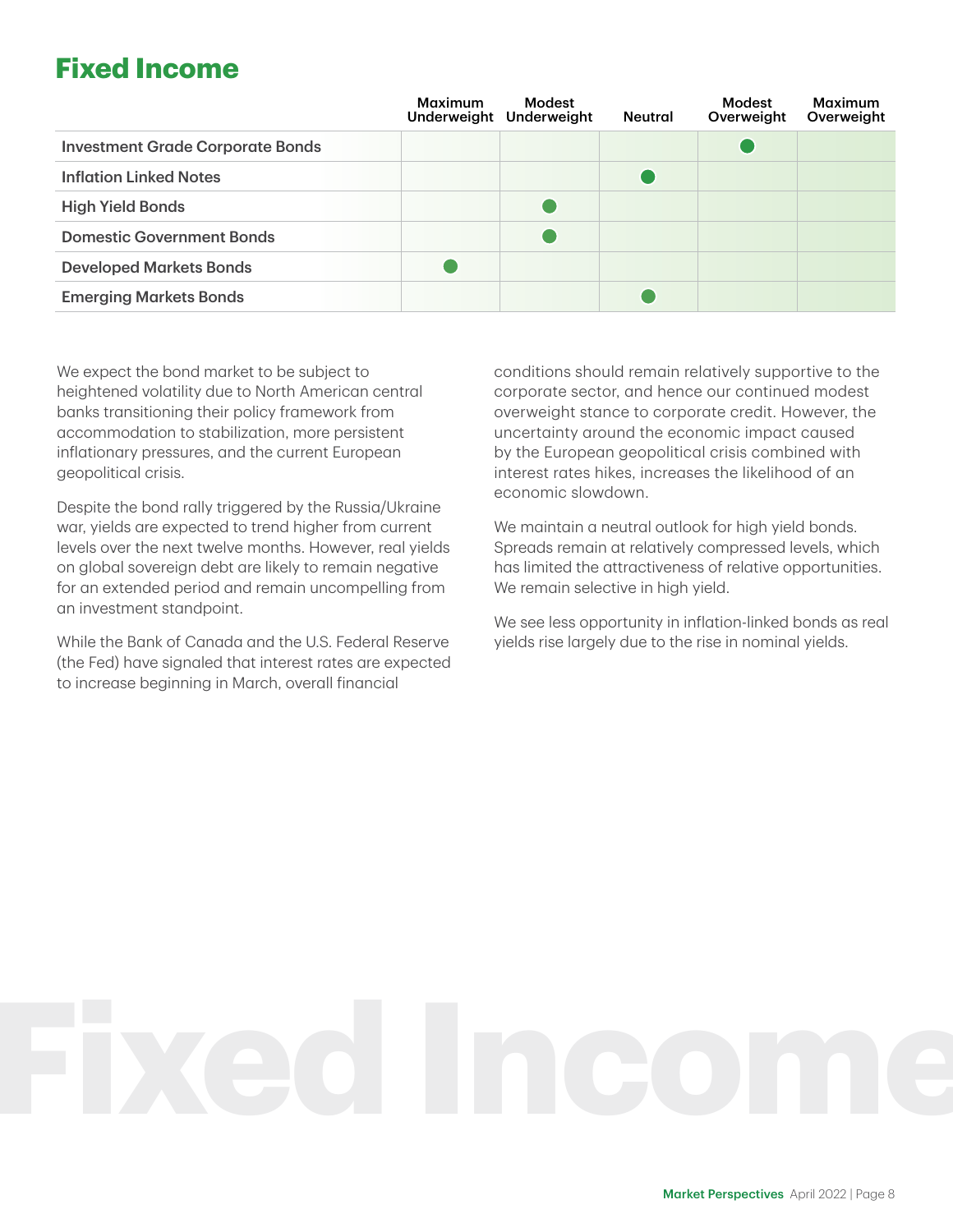### **Fixed Income**

|                                         | <b>Maximum</b> | Modest<br>Underweight Underweight | <b>Neutral</b> | Modest<br>Overweight | <b>Maximum</b><br>Overweight |
|-----------------------------------------|----------------|-----------------------------------|----------------|----------------------|------------------------------|
| <b>Investment Grade Corporate Bonds</b> |                |                                   |                |                      |                              |
| <b>Inflation Linked Notes</b>           |                |                                   |                |                      |                              |
| <b>High Yield Bonds</b>                 |                |                                   |                |                      |                              |
| <b>Domestic Government Bonds</b>        |                |                                   |                |                      |                              |
| <b>Developed Markets Bonds</b>          |                |                                   |                |                      |                              |
| <b>Emerging Markets Bonds</b>           |                |                                   |                |                      |                              |

We expect the bond market to be subject to heightened volatility due to North American central banks transitioning their policy framework from accommodation to stabilization, more persistent inflationary pressures, and the current European geopolitical crisis.

Despite the bond rally triggered by the Russia/Ukraine war, yields are expected to trend higher from current levels over the next twelve months. However, real yields on global sovereign debt are likely to remain negative for an extended period and remain uncompelling from an investment standpoint.

While the Bank of Canada and the U.S. Federal Reserve (the Fed) have signaled that interest rates are expected to increase beginning in March, overall financial

conditions should remain relatively supportive to the corporate sector, and hence our continued modest overweight stance to corporate credit. However, the uncertainty around the economic impact caused by the European geopolitical crisis combined with interest rates hikes, increases the likelihood of an economic slowdown.

We maintain a neutral outlook for high yield bonds. Spreads remain at relatively compressed levels, which has limited the attractiveness of relative opportunities. We remain selective in high yield.

We see less opportunity in inflation-linked bonds as real yields rise largely due to the rise in nominal yields.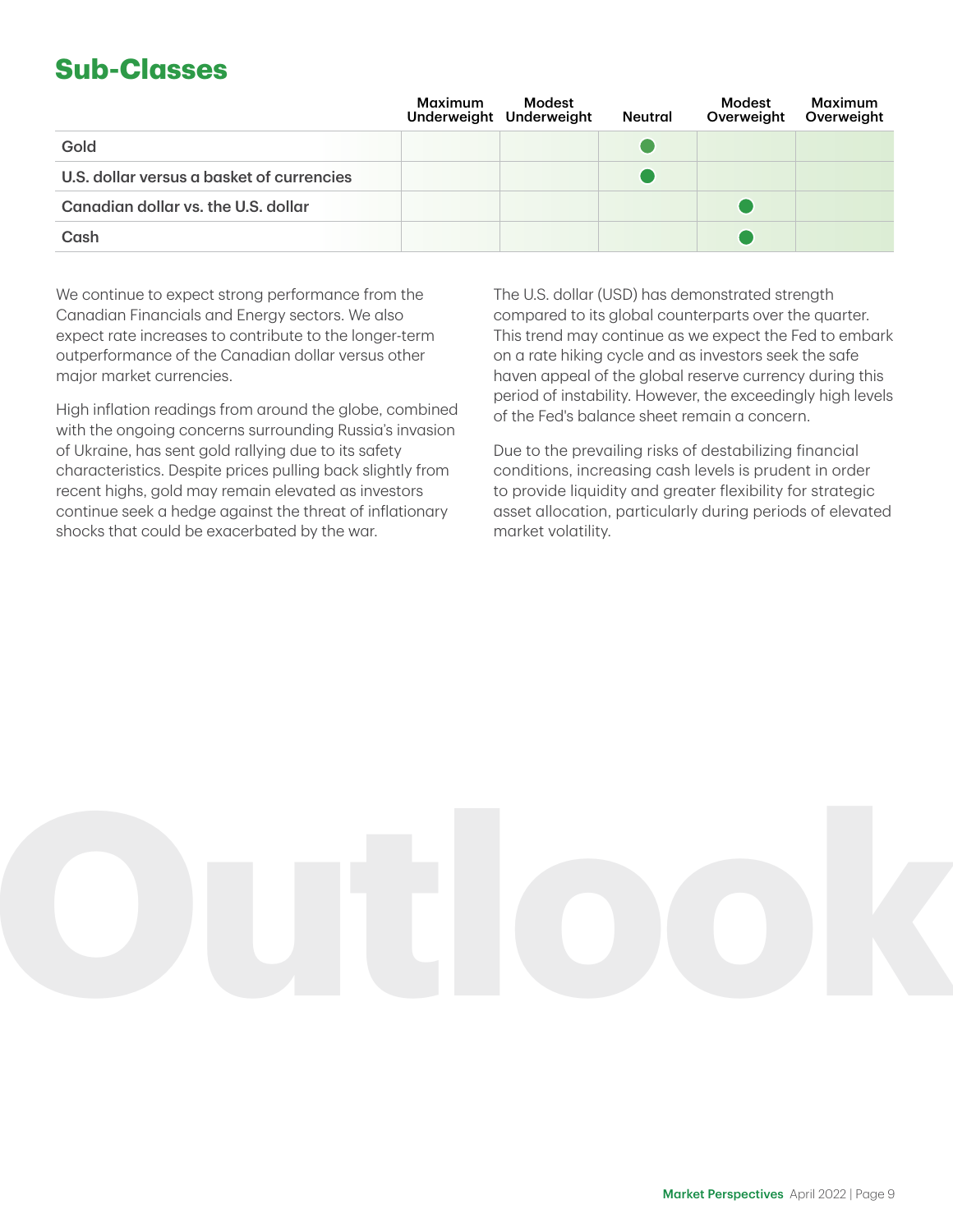### **Sub-Classes**

|                                           | Maximum | Modest<br>Underweight Underweight | <b>Neutral</b> | Modest<br>Overweight | <b>Maximum</b><br>Overweight |
|-------------------------------------------|---------|-----------------------------------|----------------|----------------------|------------------------------|
| Gold                                      |         |                                   |                |                      |                              |
| U.S. dollar versus a basket of currencies |         |                                   |                |                      |                              |
| Canadian dollar vs. the U.S. dollar       |         |                                   |                |                      |                              |
| Cash                                      |         |                                   |                |                      |                              |

We continue to expect strong performance from the Canadian Financials and Energy sectors. We also expect rate increases to contribute to the longer-term outperformance of the Canadian dollar versus other major market currencies.

High inflation readings from around the globe, combined with the ongoing concerns surrounding Russia's invasion of Ukraine, has sent gold rallying due to its safety characteristics. Despite prices pulling back slightly from recent highs, gold may remain elevated as investors continue seek a hedge against the threat of inflationary shocks that could be exacerbated by the war.

The U.S. dollar (USD) has demonstrated strength compared to its global counterparts over the quarter. This trend may continue as we expect the Fed to embark on a rate hiking cycle and as investors seek the safe haven appeal of the global reserve currency during this period of instability. However, the exceedingly high levels of the Fed's balance sheet remain a concern.

Due to the prevailing risks of destabilizing financial conditions, increasing cash levels is prudent in order to provide liquidity and greater flexibility for strategic asset allocation, particularly during periods of elevated market volatility.